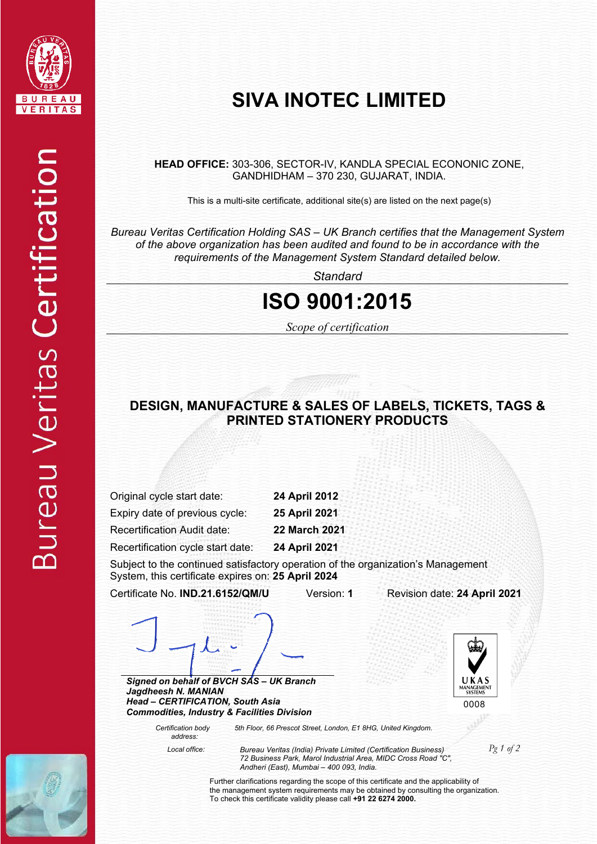

# **SIVA INOTEC LIMITED**

**HEAD OFFICE:** 303-306, SECTOR-IV, KANDLA SPECIAL ECONONIC ZONE, GANDHIDHAM – 370 230, GUJARAT, INDIA.

This is a multi-site certificate, additional site(s) are listed on the next page(s)

*Bureau Veritas Certification Holding SAS – UK Branch certifies that the Management System of the above organization has been audited and found to be in accordance with the requirements of the Management System Standard detailed below.*

*Standard*

### **ISO 9001:2015**

*Scope of certification* 

#### **DESIGN, MANUFACTURE & SALES OF LABELS, TICKETS, TAGS & PRINTED STATIONERY PRODUCTS**

Original cycle start date: **24 April 2012**  Expiry date of previous cycle: **25 April 2021** 

Recertification Audit date: **22 March 2021** 

Recertification cycle start date: **24 April 2021** 

Subject to the continued satisfactory operation of the organization's Management System, this certificate expires on: **25 April 2024**

Certificate No. **IND.21.6152/QM/U** Version: **1** Revision date: **24 April 2021**

*Signed on behalf of BVCH SAS – UK Branch Jagdheesh N. MANIAN Head – CERTIFICATION, South Asia Commodities, Industry & Facilities Division* 





 *Certification body address: 5th Floor, 66 Prescot Street, London, E1 8HG, United Kingdom.* 

 *Local office: Bureau Veritas (India) Private Limited (Certification Business) 72 Business Park, Marol Industrial Area, MIDC Cross Road "C", Andheri (East), Mumbai – 400 093, India.* 

*Pg 1 of 2* 

Further clarifications regarding the scope of this certificate and the applicability of the management system requirements may be obtained by consulting the organization. To check this certificate validity please call **+91 22 6274 2000.**